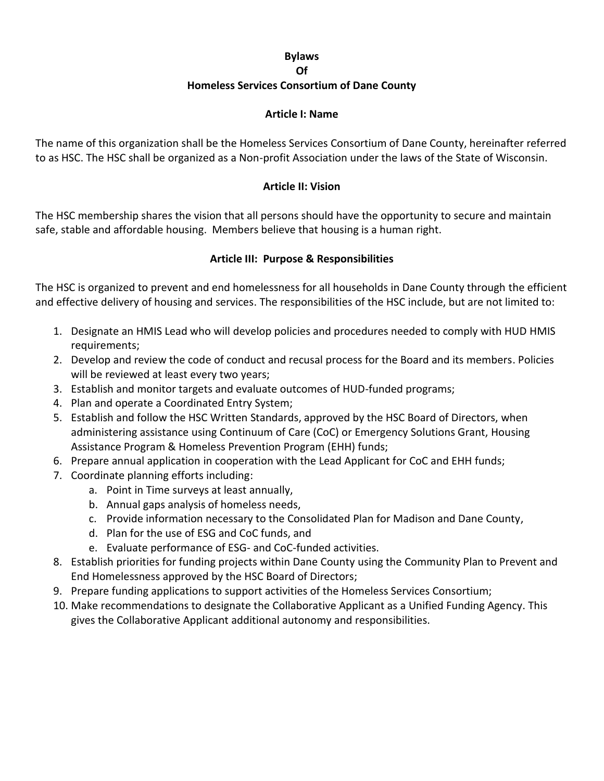## **Bylaws Of Homeless Services Consortium of Dane County**

#### **Article I: Name**

The name of this organization shall be the Homeless Services Consortium of Dane County, hereinafter referred to as HSC. The HSC shall be organized as a Non-profit Association under the laws of the State of Wisconsin.

### **Article II: Vision**

The HSC membership shares the vision that all persons should have the opportunity to secure and maintain safe, stable and affordable housing. Members believe that housing is a human right.

### **Article III: Purpose & Responsibilities**

The HSC is organized to prevent and end homelessness for all households in Dane County through the efficient and effective delivery of housing and services. The responsibilities of the HSC include, but are not limited to:

- 1. Designate an HMIS Lead who will develop policies and procedures needed to comply with HUD HMIS requirements;
- 2. Develop and review the code of conduct and recusal process for the Board and its members. Policies will be reviewed at least every two years;
- 3. Establish and monitor targets and evaluate outcomes of HUD-funded programs;
- 4. Plan and operate a Coordinated Entry System;
- 5. Establish and follow the HSC Written Standards, approved by the HSC Board of Directors, when administering assistance using Continuum of Care (CoC) or Emergency Solutions Grant, Housing Assistance Program & Homeless Prevention Program (EHH) funds;
- 6. Prepare annual application in cooperation with the Lead Applicant for CoC and EHH funds;
- 7. Coordinate planning efforts including:
	- a. Point in Time surveys at least annually,
	- b. Annual gaps analysis of homeless needs,
	- c. Provide information necessary to the Consolidated Plan for Madison and Dane County,
	- d. Plan for the use of ESG and CoC funds, and
	- e. Evaluate performance of ESG- and CoC-funded activities.
- 8. Establish priorities for funding projects within Dane County using the Community Plan to Prevent and End Homelessness approved by the HSC Board of Directors;
- 9. Prepare funding applications to support activities of the Homeless Services Consortium;
- 10. Make recommendations to designate the Collaborative Applicant as a Unified Funding Agency. This gives the Collaborative Applicant additional autonomy and responsibilities.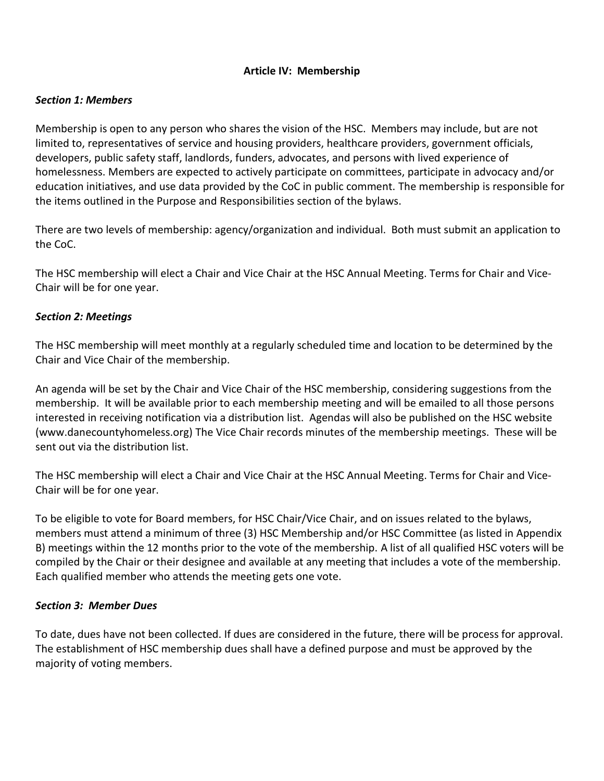## **Article IV: Membership**

#### *Section 1: Members*

Membership is open to any person who shares the vision of the HSC. Members may include, but are not limited to, representatives of service and housing providers, healthcare providers, government officials, developers, public safety staff, landlords, funders, advocates, and persons with lived experience of homelessness. Members are expected to actively participate on committees, participate in advocacy and/or education initiatives, and use data provided by the CoC in public comment. The membership is responsible for the items outlined in the Purpose and Responsibilities section of the bylaws.

There are two levels of membership: agency/organization and individual. Both must submit an application to the CoC.

The HSC membership will elect a Chair and Vice Chair at the HSC Annual Meeting. Terms for Chair and Vice-Chair will be for one year.

#### *Section 2: Meetings*

The HSC membership will meet monthly at a regularly scheduled time and location to be determined by the Chair and Vice Chair of the membership.

An agenda will be set by the Chair and Vice Chair of the HSC membership, considering suggestions from the membership. It will be available prior to each membership meeting and will be emailed to all those persons interested in receiving notification via a distribution list. Agendas will also be published on the HSC website (www.danecountyhomeless.org) The Vice Chair records minutes of the membership meetings. These will be sent out via the distribution list.

The HSC membership will elect a Chair and Vice Chair at the HSC Annual Meeting. Terms for Chair and Vice-Chair will be for one year.

To be eligible to vote for Board members, for HSC Chair/Vice Chair, and on issues related to the bylaws, members must attend a minimum of three (3) HSC Membership and/or HSC Committee (as listed in Appendix B) meetings within the 12 months prior to the vote of the membership. A list of all qualified HSC voters will be compiled by the Chair or their designee and available at any meeting that includes a vote of the membership. Each qualified member who attends the meeting gets one vote.

#### *Section 3: Member Dues*

To date, dues have not been collected. If dues are considered in the future, there will be process for approval. The establishment of HSC membership dues shall have a defined purpose and must be approved by the majority of voting members.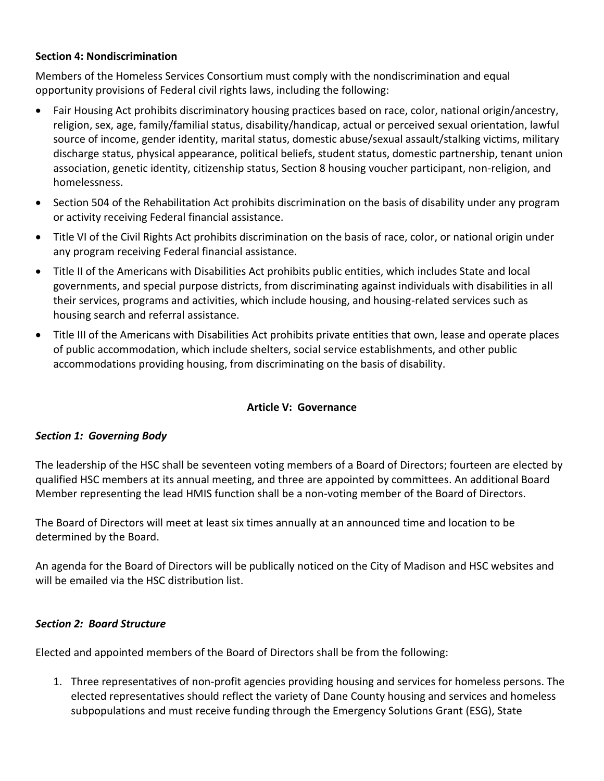## **Section 4: Nondiscrimination**

Members of the Homeless Services Consortium must comply with the nondiscrimination and equal opportunity provisions of Federal civil rights laws, including the following:

- Fair Housing Act prohibits discriminatory housing practices based on race, color, national origin/ancestry, religion, sex, age, family/familial status, disability/handicap, actual or perceived sexual orientation, lawful source of income, gender identity, marital status, domestic abuse/sexual assault/stalking victims, military discharge status, physical appearance, political beliefs, student status, domestic partnership, tenant union association, genetic identity, citizenship status, Section 8 housing voucher participant, non-religion, and homelessness.
- Section 504 of the Rehabilitation Act prohibits discrimination on the basis of disability under any program or activity receiving Federal financial assistance.
- Title VI of the Civil Rights Act prohibits discrimination on the basis of race, color, or national origin under any program receiving Federal financial assistance.
- Title II of the Americans with Disabilities Act prohibits public entities, which includes State and local governments, and special purpose districts, from discriminating against individuals with disabilities in all their services, programs and activities, which include housing, and housing-related services such as housing search and referral assistance.
- Title III of the Americans with Disabilities Act prohibits private entities that own, lease and operate places of public accommodation, which include shelters, social service establishments, and other public accommodations providing housing, from discriminating on the basis of disability.

## **Article V: Governance**

#### *Section 1: Governing Body*

The leadership of the HSC shall be seventeen voting members of a Board of Directors; fourteen are elected by qualified HSC members at its annual meeting, and three are appointed by committees. An additional Board Member representing the lead HMIS function shall be a non-voting member of the Board of Directors.

The Board of Directors will meet at least six times annually at an announced time and location to be determined by the Board.

An agenda for the Board of Directors will be publically noticed on the City of Madison and HSC websites and will be emailed via the HSC distribution list.

#### *Section 2: Board Structure*

Elected and appointed members of the Board of Directors shall be from the following:

1. Three representatives of non-profit agencies providing housing and services for homeless persons. The elected representatives should reflect the variety of Dane County housing and services and homeless subpopulations and must receive funding through the Emergency Solutions Grant (ESG), State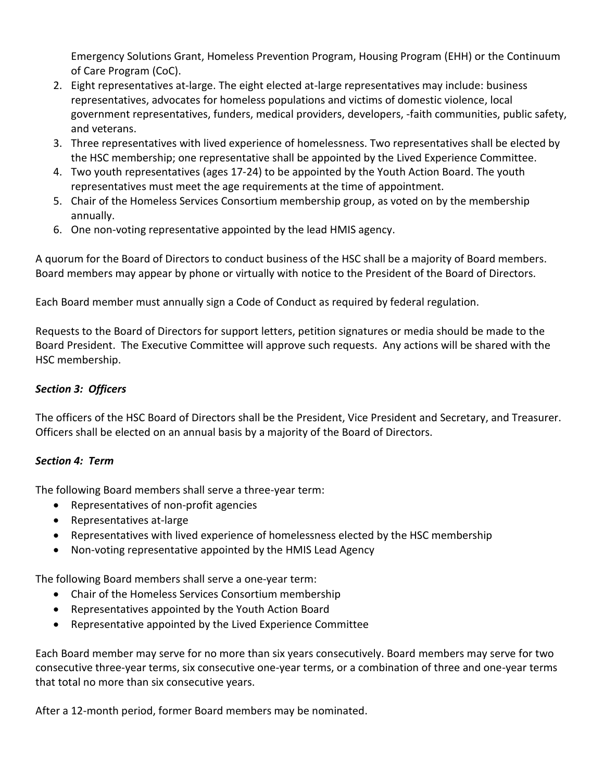Emergency Solutions Grant, Homeless Prevention Program, Housing Program (EHH) or the Continuum of Care Program (CoC).

- 2. Eight representatives at-large. The eight elected at-large representatives may include: business representatives, advocates for homeless populations and victims of domestic violence, local government representatives, funders, medical providers, developers, -faith communities, public safety, and veterans.
- 3. Three representatives with lived experience of homelessness. Two representatives shall be elected by the HSC membership; one representative shall be appointed by the Lived Experience Committee.
- 4. Two youth representatives (ages 17-24) to be appointed by the Youth Action Board. The youth representatives must meet the age requirements at the time of appointment.
- 5. Chair of the Homeless Services Consortium membership group, as voted on by the membership annually.
- 6. One non-voting representative appointed by the lead HMIS agency.

A quorum for the Board of Directors to conduct business of the HSC shall be a majority of Board members. Board members may appear by phone or virtually with notice to the President of the Board of Directors.

Each Board member must annually sign a Code of Conduct as required by federal regulation.

Requests to the Board of Directors for support letters, petition signatures or media should be made to the Board President. The Executive Committee will approve such requests. Any actions will be shared with the HSC membership.

## *Section 3: Officers*

The officers of the HSC Board of Directors shall be the President, Vice President and Secretary, and Treasurer. Officers shall be elected on an annual basis by a majority of the Board of Directors.

# *Section 4: Term*

The following Board members shall serve a three-year term:

- Representatives of non-profit agencies
- Representatives at-large
- Representatives with lived experience of homelessness elected by the HSC membership
- Non-voting representative appointed by the HMIS Lead Agency

The following Board members shall serve a one-year term:

- Chair of the Homeless Services Consortium membership
- Representatives appointed by the Youth Action Board
- Representative appointed by the Lived Experience Committee

Each Board member may serve for no more than six years consecutively. Board members may serve for two consecutive three-year terms, six consecutive one-year terms, or a combination of three and one-year terms that total no more than six consecutive years.

After a 12-month period, former Board members may be nominated.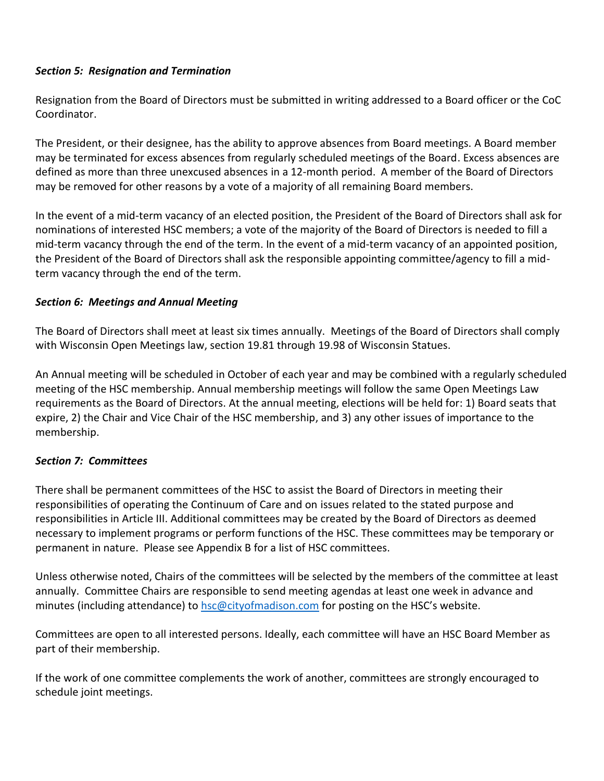## *Section 5: Resignation and Termination*

Resignation from the Board of Directors must be submitted in writing addressed to a Board officer or the CoC Coordinator.

The President, or their designee, has the ability to approve absences from Board meetings. A Board member may be terminated for excess absences from regularly scheduled meetings of the Board. Excess absences are defined as more than three unexcused absences in a 12-month period. A member of the Board of Directors may be removed for other reasons by a vote of a majority of all remaining Board members.

In the event of a mid-term vacancy of an elected position, the President of the Board of Directors shall ask for nominations of interested HSC members; a vote of the majority of the Board of Directors is needed to fill a mid-term vacancy through the end of the term. In the event of a mid-term vacancy of an appointed position, the President of the Board of Directors shall ask the responsible appointing committee/agency to fill a midterm vacancy through the end of the term.

## *Section 6: Meetings and Annual Meeting*

The Board of Directors shall meet at least six times annually. Meetings of the Board of Directors shall comply with Wisconsin Open Meetings law, section 19.81 through 19.98 of Wisconsin Statues.

An Annual meeting will be scheduled in October of each year and may be combined with a regularly scheduled meeting of the HSC membership. Annual membership meetings will follow the same Open Meetings Law requirements as the Board of Directors. At the annual meeting, elections will be held for: 1) Board seats that expire, 2) the Chair and Vice Chair of the HSC membership, and 3) any other issues of importance to the membership.

# *Section 7: Committees*

There shall be permanent committees of the HSC to assist the Board of Directors in meeting their responsibilities of operating the Continuum of Care and on issues related to the stated purpose and responsibilities in Article III. Additional committees may be created by the Board of Directors as deemed necessary to implement programs or perform functions of the HSC. These committees may be temporary or permanent in nature. Please see Appendix B for a list of HSC committees.

Unless otherwise noted, Chairs of the committees will be selected by the members of the committee at least annually. Committee Chairs are responsible to send meeting agendas at least one week in advance and minutes (including attendance) to [hsc@cityofmadison.com](mailto:hsc@cityofmadison.com) for posting on the HSC's website.

Committees are open to all interested persons. Ideally, each committee will have an HSC Board Member as part of their membership.

If the work of one committee complements the work of another, committees are strongly encouraged to schedule joint meetings.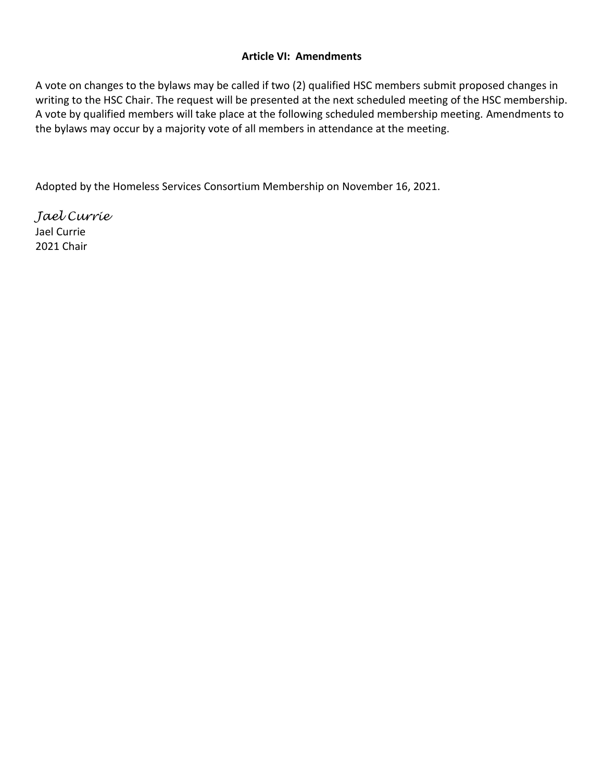## **Article VI: Amendments**

A vote on changes to the bylaws may be called if two (2) qualified HSC members submit proposed changes in writing to the HSC Chair. The request will be presented at the next scheduled meeting of the HSC membership. A vote by qualified members will take place at the following scheduled membership meeting. Amendments to the bylaws may occur by a majority vote of all members in attendance at the meeting.

Adopted by the Homeless Services Consortium Membership on November 16, 2021.

*Jael Currie* Jael Currie 2021 Chair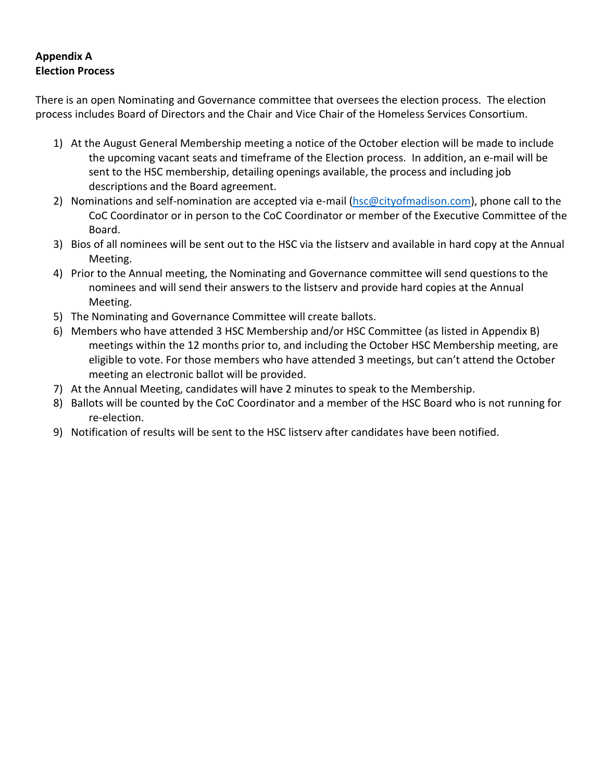# **Appendix A Election Process**

There is an open Nominating and Governance committee that oversees the election process. The election process includes Board of Directors and the Chair and Vice Chair of the Homeless Services Consortium.

- 1) At the August General Membership meeting a notice of the October election will be made to include the upcoming vacant seats and timeframe of the Election process. In addition, an e-mail will be sent to the HSC membership, detailing openings available, the process and including job descriptions and the Board agreement.
- 2) Nominations and self-nomination are accepted via e-mail [\(hsc@cityofmadison.com\)](mailto:hsc@cityofmadison.com), phone call to the CoC Coordinator or in person to the CoC Coordinator or member of the Executive Committee of the Board.
- 3) Bios of all nominees will be sent out to the HSC via the listserv and available in hard copy at the Annual Meeting.
- 4) Prior to the Annual meeting, the Nominating and Governance committee will send questions to the nominees and will send their answers to the listserv and provide hard copies at the Annual Meeting.
- 5) The Nominating and Governance Committee will create ballots.
- 6) Members who have attended 3 HSC Membership and/or HSC Committee (as listed in Appendix B) meetings within the 12 months prior to, and including the October HSC Membership meeting, are eligible to vote. For those members who have attended 3 meetings, but can't attend the October meeting an electronic ballot will be provided.
- 7) At the Annual Meeting, candidates will have 2 minutes to speak to the Membership.
- 8) Ballots will be counted by the CoC Coordinator and a member of the HSC Board who is not running for re-election.
- 9) Notification of results will be sent to the HSC listserv after candidates have been notified.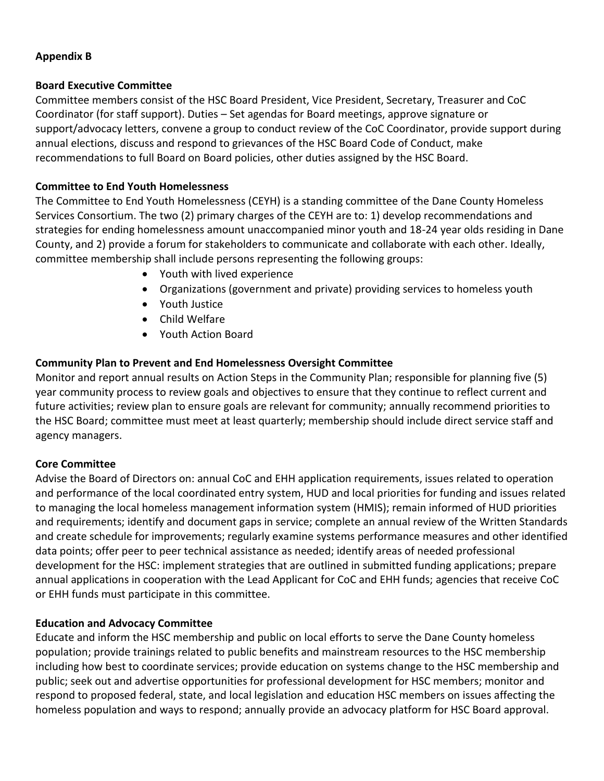## **Appendix B**

## **Board Executive Committee**

Committee members consist of the HSC Board President, Vice President, Secretary, Treasurer and CoC Coordinator (for staff support). Duties – Set agendas for Board meetings, approve signature or support/advocacy letters, convene a group to conduct review of the CoC Coordinator, provide support during annual elections, discuss and respond to grievances of the HSC Board Code of Conduct, make recommendations to full Board on Board policies, other duties assigned by the HSC Board.

## **Committee to End Youth Homelessness**

The Committee to End Youth Homelessness (CEYH) is a standing committee of the Dane County Homeless Services Consortium. The two (2) primary charges of the CEYH are to: 1) develop recommendations and strategies for ending homelessness amount unaccompanied minor youth and 18-24 year olds residing in Dane County, and 2) provide a forum for stakeholders to communicate and collaborate with each other. Ideally, committee membership shall include persons representing the following groups:

- Youth with lived experience
- Organizations (government and private) providing services to homeless youth
- Youth Justice
- Child Welfare
- Youth Action Board

## **Community Plan to Prevent and End Homelessness Oversight Committee**

Monitor and report annual results on Action Steps in the Community Plan; responsible for planning five (5) year community process to review goals and objectives to ensure that they continue to reflect current and future activities; review plan to ensure goals are relevant for community; annually recommend priorities to the HSC Board; committee must meet at least quarterly; membership should include direct service staff and agency managers.

## **Core Committee**

Advise the Board of Directors on: annual CoC and EHH application requirements, issues related to operation and performance of the local coordinated entry system, HUD and local priorities for funding and issues related to managing the local homeless management information system (HMIS); remain informed of HUD priorities and requirements; identify and document gaps in service; complete an annual review of the Written Standards and create schedule for improvements; regularly examine systems performance measures and other identified data points; offer peer to peer technical assistance as needed; identify areas of needed professional development for the HSC: implement strategies that are outlined in submitted funding applications; prepare annual applications in cooperation with the Lead Applicant for CoC and EHH funds; agencies that receive CoC or EHH funds must participate in this committee.

#### **Education and Advocacy Committee**

Educate and inform the HSC membership and public on local efforts to serve the Dane County homeless population; provide trainings related to public benefits and mainstream resources to the HSC membership including how best to coordinate services; provide education on systems change to the HSC membership and public; seek out and advertise opportunities for professional development for HSC members; monitor and respond to proposed federal, state, and local legislation and education HSC members on issues affecting the homeless population and ways to respond; annually provide an advocacy platform for HSC Board approval.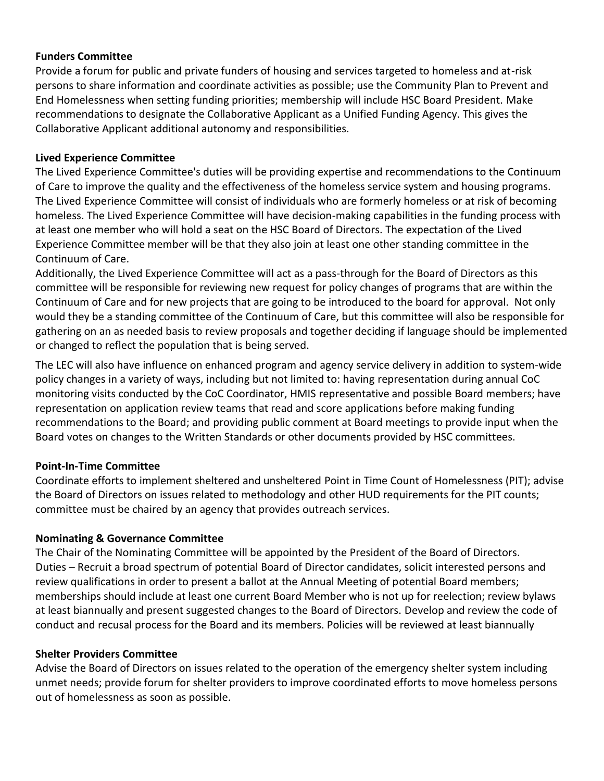### **Funders Committee**

Provide a forum for public and private funders of housing and services targeted to homeless and at-risk persons to share information and coordinate activities as possible; use the Community Plan to Prevent and End Homelessness when setting funding priorities; membership will include HSC Board President. Make recommendations to designate the Collaborative Applicant as a Unified Funding Agency. This gives the Collaborative Applicant additional autonomy and responsibilities.

#### **Lived Experience Committee**

The Lived Experience Committee's duties will be providing expertise and recommendations to the Continuum of Care to improve the quality and the effectiveness of the homeless service system and housing programs. The Lived Experience Committee will consist of individuals who are formerly homeless or at risk of becoming homeless. The Lived Experience Committee will have decision-making capabilities in the funding process with at least one member who will hold a seat on the HSC Board of Directors. The expectation of the Lived Experience Committee member will be that they also join at least one other standing committee in the Continuum of Care.

Additionally, the Lived Experience Committee will act as a pass-through for the Board of Directors as this committee will be responsible for reviewing new request for policy changes of programs that are within the Continuum of Care and for new projects that are going to be introduced to the board for approval. Not only would they be a standing committee of the Continuum of Care, but this committee will also be responsible for gathering on an as needed basis to review proposals and together deciding if language should be implemented or changed to reflect the population that is being served.

The LEC will also have influence on enhanced program and agency service delivery in addition to system-wide policy changes in a variety of ways, including but not limited to: having representation during annual CoC monitoring visits conducted by the CoC Coordinator, HMIS representative and possible Board members; have representation on application review teams that read and score applications before making funding recommendations to the Board; and providing public comment at Board meetings to provide input when the Board votes on changes to the Written Standards or other documents provided by HSC committees.

## **Point-In-Time Committee**

Coordinate efforts to implement sheltered and unsheltered Point in Time Count of Homelessness (PIT); advise the Board of Directors on issues related to methodology and other HUD requirements for the PIT counts; committee must be chaired by an agency that provides outreach services.

#### **Nominating & Governance Committee**

The Chair of the Nominating Committee will be appointed by the President of the Board of Directors. Duties – Recruit a broad spectrum of potential Board of Director candidates, solicit interested persons and review qualifications in order to present a ballot at the Annual Meeting of potential Board members; memberships should include at least one current Board Member who is not up for reelection; review bylaws at least biannually and present suggested changes to the Board of Directors. Develop and review the code of conduct and recusal process for the Board and its members. Policies will be reviewed at least biannually

#### **Shelter Providers Committee**

Advise the Board of Directors on issues related to the operation of the emergency shelter system including unmet needs; provide forum for shelter providers to improve coordinated efforts to move homeless persons out of homelessness as soon as possible.